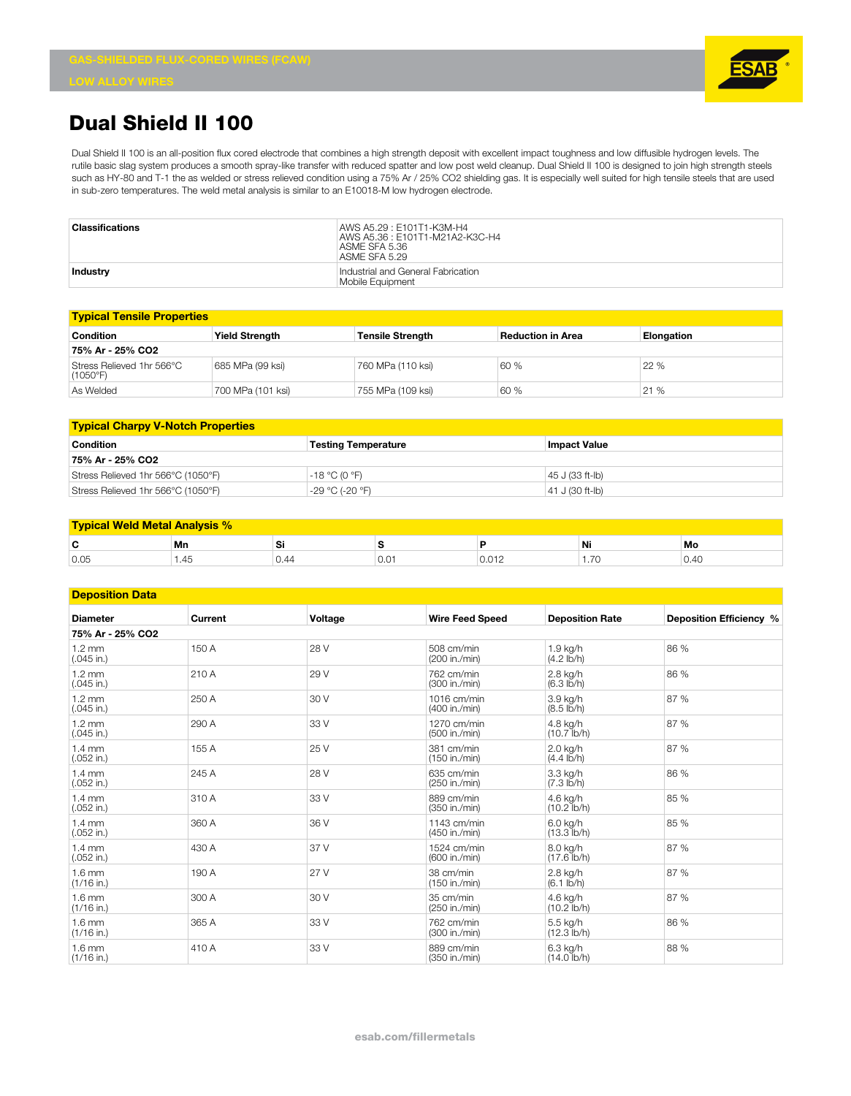## **Dual Shield II 100**

Dual Shield II 100 is an all-position flux cored electrode that combines a high strength deposit with excellent impact toughness and low diffusible hydrogen levels. The rutile basic slag system produces a smooth spray-like transfer with reduced spatter and low post weld cleanup. Dual Shield II 100 is designed to join high strength steels such as HY-80 and T-1 the as welded or stress relieved condition using a 75% Ar / 25% CO2 shielding gas. It is especially well suited for high tensile steels that are used in sub-zero temperatures. The weld metal analysis is similar to an E10018-M low hydrogen electrode.

| Classifications | AWS A5.29 : E101T1-K3M-H4<br>AWS A5.36: E101T1-M21A2-K3C-H4<br>ASME SFA 5.36<br>ASME SFA 5.29 |
|-----------------|-----------------------------------------------------------------------------------------------|
| Industry        | Industrial and General Fabrication<br>Mobile Equipment                                        |

| <b>Typical Tensile Properties</b>     |                       |                         |                          |                   |  |  |
|---------------------------------------|-----------------------|-------------------------|--------------------------|-------------------|--|--|
| Condition                             | <b>Yield Strenath</b> | <b>Tensile Strenath</b> | <b>Reduction in Area</b> | <b>Elongation</b> |  |  |
| 75% Ar - 25% CO2                      |                       |                         |                          |                   |  |  |
| Stress Relieved 1hr 566°C<br>(1050°F) | 685 MPa (99 ksi)      | 760 MPa (110 ksi)       | 60 %                     | 22 %              |  |  |
| As Welded                             | 700 MPa (101 ksi)     | 755 MPa (109 ksi)       | 60 %                     | 21%               |  |  |

| <b>Typical Charpy V-Notch Properties</b> |                            |                 |  |  |  |
|------------------------------------------|----------------------------|-----------------|--|--|--|
| Condition                                | <b>Testing Temperature</b> | lmpact Value    |  |  |  |
| 75% Ar - 25% CO2                         |                            |                 |  |  |  |
| Stress Relieved 1hr 566°C (1050°F)       | $-18$ °C (0 °F)            | 45 J (33 ft-lb) |  |  |  |
| Stress Relieved 1hr 566°C (1050°F)       | -29 °C (-20 °F)            | 41 J (30 ft-lb) |  |  |  |

| I Weld Metal Analysis %<br><b>Tynical</b> |      |      |     |                     |                                            |      |
|-------------------------------------------|------|------|-----|---------------------|--------------------------------------------|------|
| Ē<br>                                     | Mn   | , ن  | ÷   |                     | Ni                                         | Mo   |
| 0.05                                      | 1.45 | V.44 | v.v | $\sqrt{2}$<br>U.UIZ | $\overline{\phantom{a}}$<br>. . <i>.</i> v | 0.40 |

## **Deposition Data**

| Deposition Dala                  |         |         |                              |                                   |                         |  |  |
|----------------------------------|---------|---------|------------------------------|-----------------------------------|-------------------------|--|--|
| <b>Diameter</b>                  | Current | Voltage | <b>Wire Feed Speed</b>       | <b>Deposition Rate</b>            | Deposition Efficiency % |  |  |
| 75% Ar - 25% CO2                 |         |         |                              |                                   |                         |  |  |
| $1.2 \text{ mm}$<br>$(.045$ in.) | 150 A   | 28 V    | 508 cm/min<br>(200 in./min)  | $1.9$ kg/h<br>$(4.2$ lb/h)        | 86 %                    |  |  |
| $1.2 \text{ mm}$<br>$(.045$ in.) | 210 A   | 29 V    | 762 cm/min<br>(300 in./min)  | 2.8 kg/h<br>$(6.3 \text{ lb/h})$  | 86 %                    |  |  |
| $1.2 \text{ mm}$<br>$(.045$ in.) | 250 A   | 30 V    | 1016 cm/min<br>(400 in./min) | 3.9 kg/h<br>$(8.5 \text{ lb/h})$  | 87 %                    |  |  |
| $1.2 \text{ mm}$<br>$(.045$ in.) | 290 A   | 33 V    | 1270 cm/min<br>(500 in./min) | 4.8 kg/h<br>$(10.7$ lb/h)         | 87 %                    |  |  |
| $1.4 \text{ mm}$<br>$(.052$ in.) | 155 A   | 25 V    | 381 cm/min<br>(150 in./min)  | 2.0 kg/h<br>$(4.4$ lb/h)          | 87 %                    |  |  |
| $1.4 \text{ mm}$<br>$(.052$ in.) | 245 A   | 28 V    | 635 cm/min<br>(250 in./min)  | 3.3 kg/h<br>$(7.3 \, lb/h)$       | 86 %                    |  |  |
| $1.4 \text{ mm}$<br>$(.052$ in.) | 310 A   | 33 V    | 889 cm/min<br>(350 in./min)  | 4.6 kg/h<br>$(10.2$ lb/h)         | 85 %                    |  |  |
| $1.4 \text{ mm}$<br>$(.052$ in.) | 360 A   | 36 V    | 1143 cm/min<br>(450 in./min) | 6.0 kg/h<br>$(13.3$ lb/h)         | 85 %                    |  |  |
| $1.4 \text{ mm}$<br>$(.052$ in.) | 430 A   | 37 V    | 1524 cm/min<br>(600 in./min) | 8.0 kg/h<br>$(17.6 \text{ lb/h})$ | 87 %                    |  |  |
| $1.6 \text{ mm}$<br>$(1/16$ in.) | 190 A   | 27 V    | 38 cm/min<br>(150 in./min)   | 2.8 kg/h<br>$(6.1$ lb/h)          | 87 %                    |  |  |
| $1.6 \text{ mm}$<br>$(1/16$ in.) | 300 A   | 30 V    | 35 cm/min<br>(250 in./min)   | 4.6 kg/h<br>$(10.2$ lb/h)         | 87 %                    |  |  |
| $1.6 \text{ mm}$<br>$(1/16$ in.) | 365 A   | 33 V    | 762 cm/min<br>(300 in./min)  | 5.5 kg/h<br>$(12.3$ lb/h)         | 86 %                    |  |  |
| $1.6 \text{ mm}$<br>$(1/16$ in.) | 410 A   | 33 V    | 889 cm/min<br>(350 in./min)  | 6.3 kg/h<br>$(14.0 \, lb/h)$      | 88 %                    |  |  |